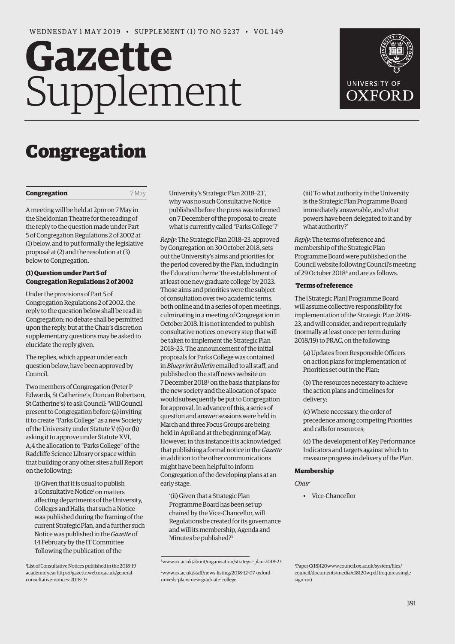# Gazette Supplement



# Congregation

#### **Congregation** 7 May

A meeting will be held at 2pm on 7 May in the Sheldonian Theatre for the reading of the reply to the question made under Part 5 of Congregation Regulations 2 of 2002 at (1) below, and to put formally the legislative proposal at (2) and the resolution at (3) below to Congregation.

# **(1) Question under Part 5 of Congregation Regulations 2 of 2002**

Under the provisions of Part 5 of Congregation Regulations 2 of 2002, the reply to the question below shall be read in Congregation; no debate shall be permitted upon the reply, but at the Chair's discretion supplementary questions may be asked to elucidate the reply given.

The replies, which appear under each question below, have been approved by Council.

Two members of Congregation (Peter P Edwards, St Catherine's; Duncan Robertson, St Catherine's) to ask Council: 'Will Council present to Congregation before (a) inviting it to create "Parks College" as a new Society of the University under Statute V (6) or (b) asking it to approve under Statute XVI, A,4 the allocation to "Parks College" of the Radcliffe Science Library or space within that building or any other sites a full Report on the following:

(i) Given that it is usual to publish a Consultative Notice<sup>1</sup> on matters affecting departments of the University, Colleges and Halls, that such a Notice was published during the framing of the current Strategic Plan, and a further such Notice was published in the *Gazette* of 14 February by the IT Committee 'following the publication of the

University's Strategic Plan 2018–23', why was no such Consultative Notice published before the press was informed on 7 December of the proposal to create what is currently called "Parks College"?'

*Reply*: The Strategic Plan 2018–23, approved by Congregation on 30 October 2018, sets out the University's aims and priorities for the period covered by the Plan, including in the Education theme 'the establishment of at least one new graduate college' by 2023. Those aims and priorities were the subject of consultation over two academic terms, both online and in a series of open meetings, culminating in a meeting of Congregation in October 2018. It is not intended to publish consultative notices on every step that will be taken to implement the Strategic Plan 2018–23. The announcement of the initial proposals for Parks College was contained in *Blueprint Bulletin* emailed to all staff, and published on the staff news website on 7 December 2018<sup>2</sup> on the basis that plans for the new society and the allocation of space would subsequently be put to Congregation for approval. In advance of this, a series of question and answer sessions were held in March and three Focus Groups are being held in April and at the beginning of May. However, in this instance it is acknowledged that publishing a formal notice in the *Gazette* in addition to the other communications might have been helpful to inform Congregation of the developing plans at an early stage.

'(ii) Given that a Strategic Plan Programme Board has been set up chaired by the Vice-Chancellor, will Regulations be created for its governance and will its membership, Agenda and Minutes be published?<sup>3</sup>

(iii) To what authority in the University is the Strategic Plan Programme Board immediately answerable, and what powers have been delegated to it and by what authority?'

*Reply*: The terms of reference and membership of the Strategic Plan Programme Board were published on the Council website following Council's meeting of 29 October 20184 and are as follows.

#### '**Terms of reference**

The [Strategic Plan] Programme Board will assume collective responsibility for implementation of the Strategic Plan 2018– 23, and will consider, and report regularly (normally at least once per term during 2018/19) to PRAC, on the following:

(a) Updates from Responsible Officers on action plans for implementation of Priorities set out in the Plan;

(b) The resources necessary to achieve the action plans and timelines for delivery;

(c) Where necessary, the order of precedence among competing Priorities and calls for resources;

(d) The development of Key Performance Indicators and targets against which to measure progress in delivery of the Plan.

#### **Membership**

*Chair*

• Vice-Chancellor

<sup>1</sup> List of Consultative Notices published in the 2018-19 academic year https://gazette.web.ox.ac.uk/generalconsultative-notices-2018-19

<sup>3</sup> [www.ox.ac.uk/about/organisation/strategic-plan-2018-23](http://www.ox.ac.uk/about/organisation/strategic-plan-2018-23)

<sup>2</sup> [www.ox.ac.uk/staff/news-listing/2018-12-07-oxford](http://www.ox.ac.uk/staff/news-listing/2018-12-07-oxford-unveils-plans-new-graduate-college)unveils-plans-new-graduat[e](http://www.ox.ac.uk/staff/news-listing/2018-12-07-oxfordunveils-plans-new-graduate-college)-college

<sup>4</sup> Paper C(18)12[0www.council.ox.ac.uk/system/files/](http://www.council.ox.ac.uk/system/files/council/documents/media/c18120w.pdf) [council/documents/media/c18120w.pdf](http://www.council.ox.ac.uk/system/files/council/documents/media/c18120w.pdf) (requires single sign-on)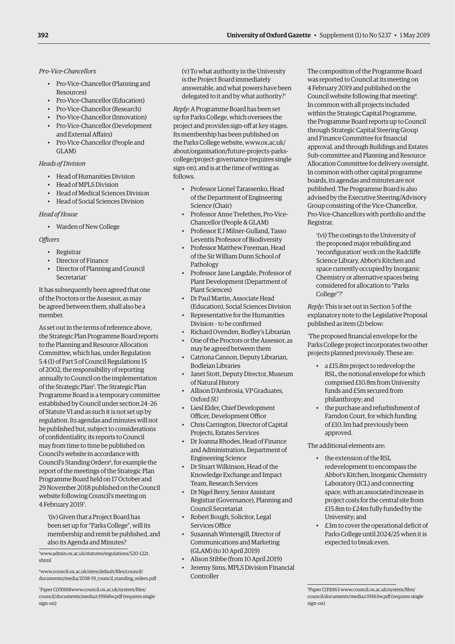*Pro-Vice-Chancellors*

- Pro-Vice-Chancellor (Planning and Resources)
- Pro-Vice-Chancellor (Education)
- Pro-Vice-Chancellor (Research)
- Pro-Vice-Chancellor (Innovation)
- Pro-Vice-Chancellor (Development and External Affairs)
- Pro-Vice-Chancellor (People and GLAM)

# *Heads of Division*

- Head of Humanities Division
- Head of MPLS Division
- Head of Medical Sciences Division
- Head of Social Sciences Division

*Head of House*

• Warden of New College

*Officers*

- Registrar
- Director of Finance
- Director of Planning and Council Secretariat'

It has subsequently been agreed that one of the Proctors or the Assessor, as may be agreed between them, shall also be a member.

As set out in the terms of reference above, the Strategic Plan Programme Board reports to the Planning and Resource Allocation Committee, which has, under Regulation 5.4 (1) of Part 5 of Council Regulations 15 of 2002, the responsibility of reporting annually to Council on the implementation of the Strategic Plan<sup>5</sup>. The Strategic Plan Programme Board is a temporary committee established by Council under section 24–26 of Statute VI and as such it is not set up by regulation. Its agendas and minutes will not be published but, subject to considerations of confidentiality, its reports to Council may from time to time be published on Council's website in accordance with Council's Standing Orders<sup>6</sup>, for example the report of the meetings of the Strategic Plan Programme Board held on 17 October and 29 November 2018 published on the Council website following Council's meeting on 4 February 20197 .

'(iv) Given that a Project Board has been set up for "Parks College", will its membership and remit be published, and also its Agenda and Minutes?

5 [www.admin.ox.ac.uk/statutes/regulations/520-122t.](http://www.admin.ox.ac.uk/statutes/regulations/520-122t.shtml) shtml

6 www.council.ox.ac.uk/sites/default/files/council/ [documents/media/2018-19\\_council\\_standing\\_orde](http://www.council.ox.ac.uk/sites/default/files/council/documents/media/2018-19_council_standing_orders.pdf)rs.pdf

7 Paper C(19)168www.council.ox.ac.uk/system/files/ [council/documents/media/c19168w.pdf](http://www.council.ox.ac.uk/system/files/council/documents/media/c19168w.pdf) (requires single sign-on)

(v) To what authority in the University is the Project Board immediately answerable, and what powers have been delegated to it and by what authority?'

*Reply*: A Programme Board has been set up for Parks College, which oversees the project and provides sign-off at key stages. Its membership has been published on the Parks College website, www.ox.ac.uk/ about/organisation/future-projects-parks[college/project-governance \(requires single](www.ox.ac.uk/about/organisation/future-projects-parks-college/project-governance)  sign-on), and is at the time of writing as follows.

- Professor Lionel Tarassenko, Head of the Department of Engineering Science (Chair)
- Professor Anne Trefethen, Pro-Vice-Chancellor (People & GLAM)
- Professor E J Milner-Gulland, Tasso Leventis Professor of Biodiversity
- Professor Matthew Freeman, Head of the Sir William Dunn School of Pathology
- Professor Jane Langdale, Professor of Plant Development (Department of Plant Sciences)
- Dr Paul Martin, Associate Head (Education), Social Sciences Division
- Representative for the Humanities Division – to be confirmed
- Richard Ovenden, Bodley's Librarian
- One of the Proctors or the Assessor, as may be agreed between them
- Catriona Cannon, Deputy Librarian, Bodleian Libraries
- Janet Stott, Deputy Director, Museum of Natural History
- Allison D'Ambrosia, VP Graduates, Oxford SU
- Liesl Elder, Chief Development Officer, Development Office
- Chris Carrington, Director of Capital Projects, Estates Services
- Dr Joanna Rhodes, Head of Finance and Administration, Department of Engineering Science
- Dr Stuart Wilkinson, Head of the Knowledge Exchange and Impact Team, Research Services
- Dr Nigel Berry, Senior Assistant Registrar (Governance), Planning and Council Secretariat
- Robert Bough, Solicitor, Legal Services Office
- Susannah Wintersgill, Director of Communications and Marketing (GLAM) (to 10 April 2019)
- Alison Stibbe (from 10 April 2019)
- Jeremy Sims, MPLS Division Financial Controller

The composition of the Programme Board was reported to Council at its meeting on 4 February 2019 and published on the Council website following that meeting<sup>8</sup>. In common with all projects included within the Strategic Capital Programme, the Programme Board reports up to Council through Strategic Capital Steering Group and Finance Committee for financial approval, and through Buildings and Estates Sub-committee and Planning and Resource Allocation Committee for delivery oversight. In common with other capital programme boards, its agendas and minutes are not published. The Programme Board is also advised by the Executive Steering/Advisory Group consisting of the Vice-Chancellor, Pro-Vice-Chancellors with portfolio and the Registrar.

'(vi) The costings to the University of the proposed major rebuilding and 'reconfiguration' work on the Radcliffe Science Library, Abbot's Kitchen and space currently occupied by Inorganic Chemistry or alternative spaces being considered for allocation to "Parks College"?'

*Reply*: This is set out in Section 5 of the explanatory note to the Legislative Proposal published as item (2) below:

'The proposed financial envelope for the Parks College project incorporates two other projects planned previously. These are:

- a £15.8m project to redevelop the RSL, the notional envelope for which comprised £10.8m from University funds and £5m secured from philanthropy; and
- the purchase and refurbishment of Farndon Court, for which funding of £10.3m had previously been approved.

The additional elements are:

- the extension of the RSL redevelopment to encompass the Abbot's Kitchen, Inorganic Chemistry Laboratory (ICL) and connecting space, with an associated increase in project costs for the central site from £15.8m to £24m fully funded by the University; and
- £3m to cover the operational deficit of Parks College until 2024/25 when it is expected to break even.

<sup>8</sup> Paper C(19)163 www.council.ox.ac.uk/system/files/ [council/documents/media/c19163w.pdf](http://www.council.ox.ac.uk/system/files/council/documents/media/c19163w.pdf) (requires single sign-on)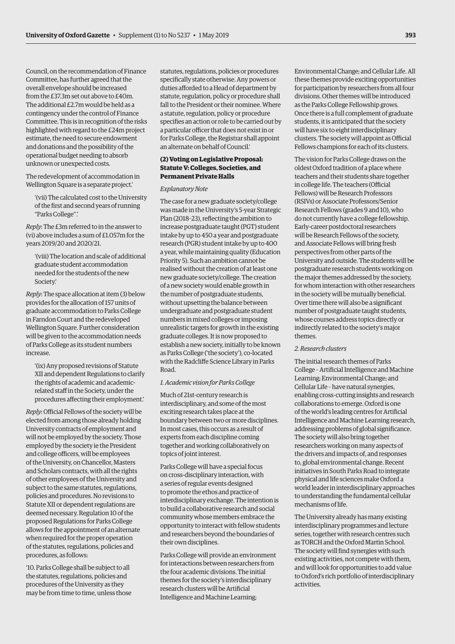Council, on the recommendation of Finance Committee, has further agreed that the overall envelope should be increased from the £37.3m set out above to £40m. The additional £2.7m would be held as a contingency under the control of Finance Committee. This is in recognition of the risks highlighted with regard to the £24m project estimate, the need to secure endowment and donations and the possibility of the operational budget needing to absorb unknown or unexpected costs.

The redevelopment of accommodation in Wellington Square is a separate project.'

'(vii) The calculated cost to the University of the first and second years of running "Parks College''.'

*Reply*: The £3m referred to in the answer to (vi) above includes a sum of £1.057m for the years 2019/20 and 2020/21.

'(viii) The location and scale of additional graduate student accommodation needed for the students of the new Society.'

*Reply*: The space allocation at item (3) below provides for the allocation of 157 units of graduate accommodation to Parks College in Farndon Court and the redeveloped Wellington Square. Further consideration will be given to the accommodation needs of Parks College as its student numbers increase.

'(ix) Any proposed revisions of Statute XII and dependent Regulations to clarify the rights of academic and academicrelated staff in the Society, under the procedures affecting their employment.'

*Reply*: Official Fellows of the society will be elected from among those already holding University contracts of employment and will not be employed by the society. Those employed by the society ie the President and college officers, will be employees of the University, on Chancellor, Masters and Scholars contracts, with all the rights of other employees of the University and subject to the same statutes, regulations, policies and procedures. No revisions to Statute XII or dependent regulations are deemed necessary. Regulation 10 of the proposed Regulations for Parks College allows for the appointment of an alternate when required for the proper operation of the statutes, regulations, policies and procedures, as follows:

'10. Parks College shall be subject to all the statutes, regulations, policies and procedures of the University as they may be from time to time, unless those statutes, regulations, policies or procedures specifically state otherwise. Any powers or duties afforded to a Head of department by statute, regulation, policy or procedure shall fall to the President or their nominee. Where a statute, regulation, policy or procedure specifies an action or role to be carried out by a particular officer that does not exist in or for Parks College, the Registrar shall appoint an alternate on behalf of Council.'

# **(2) Voting on Legislative Proposal: Statute V: Colleges, Societies, and Permanent Private Halls**

### *Explanatory Note*

The case for a new graduate society/college was made in the University's 5-year Strategic Plan (2018–23), reflecting the ambition to increase postgraduate taught (PGT) student intake by up to 450 a year and postgraduate research (PGR) student intake by up to 400 a year, while maintaining quality (Education Priority 5). Such an ambition cannot be realised without the creation of at least one new graduate society/college. The creation of a new society would enable growth in the number of postgraduate students, without upsetting the balance between undergraduate and postgraduate student numbers in mixed colleges or imposing unrealistic targets for growth in the existing graduate colleges. It is now proposed to establish a new society, initially to be known as Parks College ('the society'), co-located with the Radcliffe Science Library in Parks Road.

#### *1. Academic vision for Parks College*

Much of 21st-century research is interdisciplinary, and some of the most exciting research takes place at the boundary between two or more disciplines. In most cases, this occurs as a result of experts from each discipline coming together and working collaboratively on topics of joint interest.

Parks College will have a special focus on cross-disciplinary interaction, with a series of regular events designed to promote the ethos and practice of interdisciplinary exchange. The intention is to build a collaborative research and social community whose members embrace the opportunity to interact with fellow students and researchers beyond the boundaries of their own disciplines.

Parks College will provide an environment for interactions between researchers from the four academic divisions. The initial themes for the society's interdisciplinary research clusters will be Artificial Intelligence and Machine Learning;

Environmental Change; and Cellular Life. All these themes provide exciting opportunities for participation by researchers from all four divisions. Other themes will be introduced as the Parks College Fellowship grows. Once there is a full complement of graduate students, it is anticipated that the society will have six to eight interdisciplinary clusters. The society will appoint as Official Fellows champions for each of its clusters.

The vision for Parks College draws on the oldest Oxford tradition of a place where teachers and their students share together in college life. The teachers (Official Fellows) will be Research Professors (RSIVs) or Associate Professors/Senior Research Fellows (grades 9 and 10), who do not currently have a college fellowship. Early-career postdoctoral researchers will be Research Fellows of the society, and Associate Fellows will bring fresh perspectives from other parts of the University and outside. The students will be postgraduate research students working on the major themes addressed by the society, for whom interaction with other researchers in the society will be mutually beneficial. Over time there will also be a significant number of postgraduate taught students, whose courses address topics directly or indirectly related to the society's major themes.

# *2. Research clusters*

The initial research themes of Parks College – Artificial Intelligence and Machine Learning; Environmental Change; and Cellular Life – have natural synergies, enabling cross-cutting insights and research collaborations to emerge. Oxford is one of the world's leading centres for Artificial Intelligence and Machine Learning research, addressing problems of global significance. The society will also bring together researchers working on many aspects of the drivers and impacts of, and responses to, global environmental change. Recent initiatives in South Parks Road to integrate physical and life sciences make Oxford a world leader in interdisciplinary approaches to understanding the fundamental cellular mechanisms of life.

The University already has many existing interdisciplinary programmes and lecture series, together with research centres such as TORCH and the Oxford Martin School. The society will find synergies with such existing activities, not compete with them, and will look for opportunities to add value to Oxford's rich portfolio of interdisciplinary activities.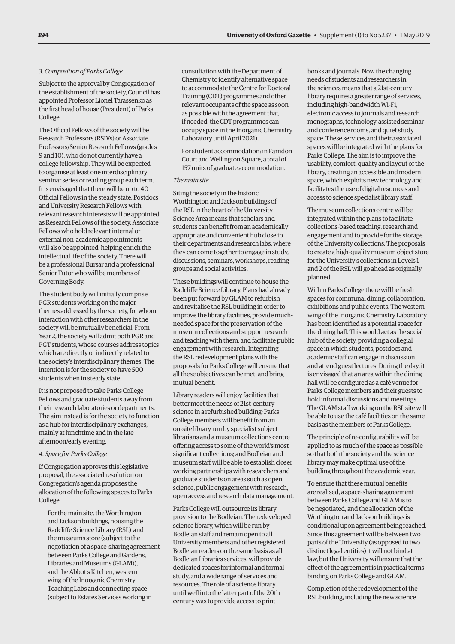#### *3. Composition of Parks College*

Subject to the approval by Congregation of the establishment of the society, Council has appointed Professor Lionel Tarassenko as the first head of house (President) of Parks College.

The Official Fellows of the society will be Research Professors (RSIVs) or Associate Professors/Senior Research Fellows (grades 9 and 10), who do not currently have a college fellowship. They will be expected to organise at least one interdisciplinary seminar series or reading group each term. It is envisaged that there will be up to 40 Official Fellows in the steady state. Postdocs and University Research Fellows with relevant research interests will be appointed as Research Fellows of the society. Associate Fellows who hold relevant internal or external non-academic appointments will also be appointed, helping enrich the intellectual life of the society. There will be a professional Bursar and a professional Senior Tutor who will be members of Governing Body.

The student body will initially comprise PGR students working on the major themes addressed by the society, for whom interaction with other researchers in the society will be mutually beneficial. From Year 2, the society will admit both PGR and PGT students, whose courses address topics which are directly or indirectly related to the society's interdisciplinary themes. The intention is for the society to have 500 students when in steady state.

It is not proposed to take Parks College Fellows and graduate students away from their research laboratories or departments. The aim instead is for the society to function as a hub for interdisciplinary exchanges, mainly at lunchtime and in the late afternoon/early evening.

#### *4. Space for Parks College*

If Congregation approves this legislative proposal, the associated resolution on Congregation's agenda proposes the allocation of the following spaces to Parks College.

For the main site: the Worthington and Jackson buildings, housing the Radcliffe Science Library (RSL) and the museums store (subject to the negotiation of a space-sharing agreement between Parks College and Gardens, Libraries and Museums (GLAM)), and the Abbot's Kitchen, western wing of the Inorganic Chemistry Teaching Labs and connecting space (subject to Estates Services working in

consultation with the Department of Chemistry to identify alternative space to accommodate the Centre for Doctoral Training (CDT) programmes and other relevant occupants of the space as soon as possible with the agreement that, if needed, the CDT programmes can occupy space in the Inorganic Chemistry Laboratory until April 2021).

For student accommodation: in Farndon Court and Wellington Square, a total of 157 units of graduate accommodation.

#### *The main site*

Siting the society in the historic Worthington and Jackson buildings of the RSL in the heart of the University Science Area means that scholars and students can benefit from an academically appropriate and convenient hub close to their departments and research labs, where they can come together to engage in study, discussions, seminars, workshops, reading groups and social activities.

These buildings will continue to house the Radcliffe Science Library. Plans had already been put forward by GLAM to refurbish and revitalise the RSL building in order to improve the library facilities, provide muchneeded space for the preservation of the museum collections and support research and teaching with them, and facilitate public engagement with research. Integrating the RSL redevelopment plans with the proposals for Parks College will ensure that all these objectives can be met, and bring mutual benefit.

Library readers will enjoy facilities that better meet the needs of 21st-century science in a refurbished building; Parks College members will benefit from an on-site library run by specialist subject librarians and a museum collections centre offering access to some of the world's most significant collections; and Bodleian and museum staff will be able to establish closer working partnerships with researchers and graduate students on areas such as open science, public engagement with research, open access and research data management.

Parks College will outsource its library provision to the Bodleian. The redeveloped science library, which will be run by Bodleian staff and remain open to all University members and other registered Bodleian readers on the same basis as all Bodleian Libraries services, will provide dedicated spaces for informal and formal study, and a wide range of services and resources. The role of a science library until well into the latter part of the 20th century was to provide access to print

books and journals. Now the changing needs of students and researchers in the sciences means that a 21st-century library requires a greater range of services, including high-bandwidth Wi-Fi, electronic access to journals and research monographs, technology-assisted seminar and conference rooms, and quiet study space. These services and their associated spaces will be integrated with the plans for Parks College. The aim is to improve the usability, comfort, quality and layout of the library, creating an accessible and modern space, which exploits new technology and facilitates the use of digital resources and access to science specialist library staff.

The museum collections centre will be integrated within the plans to facilitate collections-based teaching, research and engagement and to provide for the storage of the University collections. The proposals to create a high-quality museum object store for the University's collections in Levels 1 and 2 of the RSL will go ahead as originally planned.

Within Parks College there will be fresh spaces for communal dining, collaboration, exhibitions and public events. The western wing of the Inorganic Chemistry Laboratory has been identified as a potential space for the dining hall. This would act as the social hub of the society, providing a collegial space in which students, postdocs and academic staff can engage in discussion and attend guest lectures. During the day, it is envisaged that an area within the dining hall will be configured as a café venue for Parks College members and their guests to hold informal discussions and meetings. The GLAM staff working on the RSL site will be able to use the café facilities on the same basis as the members of Parks College.

The principle of re-configurability will be applied to as much of the space as possible so that both the society and the science library may make optimal use of the building throughout the academic year.

To ensure that these mutual benefits are realised, a space-sharing agreement between Parks College and GLAM is to be negotiated, and the allocation of the Worthington and Jackson buildings is conditional upon agreement being reached. Since this agreement will be between two parts of the University (as opposed to two distinct legal entities) it will not bind at law, but the University will ensure that the effect of the agreement is in practical terms binding on Parks College and GLAM.

Completion of the redevelopment of the RSL building, including the new science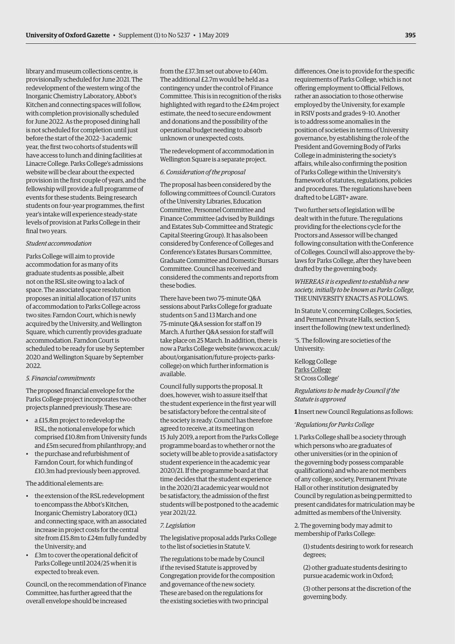library and museum collections centre, is provisionally scheduled for June 2021. The redevelopment of the western wing of the Inorganic Chemistry Laboratory, Abbot's Kitchen and connecting spaces will follow, with completion provisionally scheduled for June 2022. As the proposed dining hall is not scheduled for completion until just before the start of the 2022–3 academic year, the first two cohorts of students will have access to lunch and dining facilities at Linacre College. Parks College's admissions website will be clear about the expected provision in the first couple of years, and the fellowship will provide a full programme of events for these students. Being research students on four-year programmes, the first year's intake will experience steady-state levels of provision at Parks College in their final two years.

#### *Student accommodation*

Parks College will aim to provide accommodation for as many of its graduate students as possible, albeit not on the RSL site owing to a lack of space. The associated space resolution proposes an initial allocation of 157 units of accommodation to Parks College across two sites: Farndon Court, which is newly acquired by the University, and Wellington Square, which currently provides graduate accommodation. Farndon Court is scheduled to be ready for use by September 2020 and Wellington Square by September 2022.

#### *5. Financial commitments*

The proposed financial envelope for the Parks College project incorporates two other projects planned previously. These are:

- a £15.8m project to redevelop the RSL, the notional envelope for which comprised £10.8m from University funds and £5m secured from philanthropy; and
- the purchase and refurbishment of Farndon Court, for which funding of £10.3m had previously been approved.

The additional elements are:

- the extension of the RSL redevelopment to encompass the Abbot's Kitchen, Inorganic Chemistry Laboratory (ICL) and connecting space, with an associated increase in project costs for the central site from £15.8m to £24m fully funded by the University; and
- £3m to cover the operational deficit of Parks College until 2024/25 when it is expected to break even.

Council, on the recommendation of Finance Committee, has further agreed that the overall envelope should be increased

from the £37.3m set out above to £40m. The additional £2.7m would be held as a contingency under the control of Finance Committee. This is in recognition of the risks highlighted with regard to the £24m project estimate, the need to secure endowment and donations and the possibility of the operational budget needing to absorb unknown or unexpected costs.

The redevelopment of accommodation in Wellington Square is a separate project.

#### *6. Consideration of the proposal*

The proposal has been considered by the following committees of Council: Curators of the University Libraries, Education Committee, Personnel Committee and Finance Committee (advised by Buildings and Estates Sub-Committee and Strategic Capital Steering Group). It has also been considered by Conference of Colleges and Conference's Estates Bursars Committee, Graduate Committee and Domestic Bursars Committee. Council has received and considered the comments and reports from these bodies.

There have been two 75-minute Q&A sessions about Parks College for graduate students on 5 and 13 March and one 75-minute Q&A session for staff on 19 March. A further Q&A session for staff will take place on 25 March. In addition, there is [now a Parks College website \(www.ox.ac.uk/](www.ox.ac.uk/about/organisation/future-projects-parks-college) about/organisation/future-projects-parkscollege) on which further information is available.

Council fully supports the proposal. It does, however, wish to assure itself that the student experience in the first year will be satisfactory before the central site of the society is ready. Council has therefore agreed to receive, at its meeting on 15 July 2019, a report from the Parks College programme board as to whether or not the society will be able to provide a satisfactory student experience in the academic year 2020/21. If the programme board at that time decides that the student experience in the 2020/21 academic year would not be satisfactory, the admission of the first students will be postponed to the academic year 2021/22.

#### *7. Legislation*

The legislative proposal adds Parks College to the list of societies in Statute V.

The regulations to be made by Council if the revised Statute is approved by Congregation provide for the composition and governance of the new society. These are based on the regulations for the existing societies with two principal

differences. One is to provide for the specific requirements of Parks College, which is not offering employment to Official Fellows, rather an association to those otherwise employed by the University, for example in RSIV posts and grades 9–10. Another is to address some anomalies in the position of societies in terms of University governance, by establishing the role of the President and Governing Body of Parks College in administering the society's affairs, while also confirming the position of Parks College within the University's framework of statutes, regulations, policies and procedures. The regulations have been drafted to be LGBT+ aware.

Two further sets of legislation will be dealt with in the future. The regulations providing for the elections cycle for the Proctors and Assessor will be changed following consultation with the Conference of Colleges. Council will also approve the bylaws for Parks College, after they have been drafted by the governing body.

*WHEREAS it is expedient to establish a new society, initially to be known as Parks College,*  THE UNIVERSITY ENACTS AS FOLLOWS.

In Statute V, concerning Colleges, Societies, and Permanent Private Halls, section 5, insert the following (new text underlined):

'5. The following are societies of the University:

Kellogg College Parks College St Cross College'

*Regulations to be made by Council if the Statute is approved*

**1** Insert new Council Regulations as follows:

#### '*Regulations for Parks College*

1. Parks College shall be a society through which persons who are graduates of other universities (or in the opinion of the governing body possess comparable qualifications) and who are not members of any college, society, Permanent Private Hall or other institution designated by Council by regulation as being permitted to present candidates for matriculation may be admitted as members of the University.

2. The governing body may admit to membership of Parks College:

(1) students desiring to work for research degrees;

(2) other graduate students desiring to pursue academic work in Oxford;

(3) other persons at the discretion of the governing body.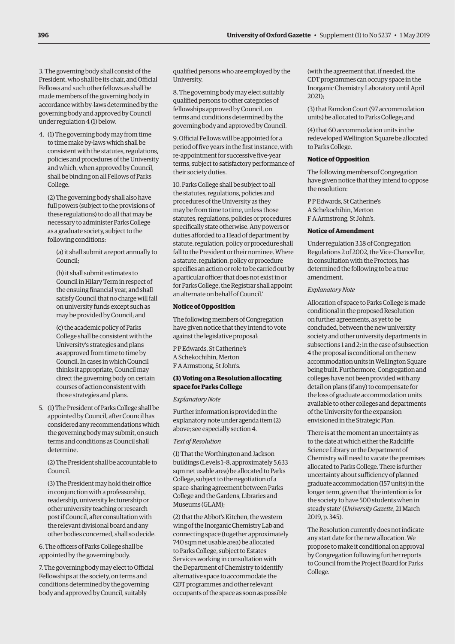3. The governing body shall consist of the President, who shall be its chair, and Official Fellows and such other fellows as shall be made members of the governing body in accordance with by-laws determined by the governing body and approved by Council under regulation 4 (1) below.

4. (1) The governing body may from time to time make by-laws which shall be consistent with the statutes, regulations, policies and procedures of the University and which, when approved by Council, shall be binding on all Fellows of Parks College.

(2) The governing body shall also have full powers (subject to the provisions of these regulations) to do all that may be necessary to administer Parks College as a graduate society, subject to the following conditions:

(a) it shall submit a report annually to Council;

(b) it shall submit estimates to Council in Hilary Term in respect of the ensuing financial year, and shall satisfy Council that no charge will fall on university funds except such as may be provided by Council; and

(c) the academic policy of Parks College shall be consistent with the University's strategies and plans as approved from time to time by Council. In cases in which Council thinks it appropriate, Council may direct the governing body on certain courses of action consistent with those strategies and plans.

5. (1) The President of Parks College shall be appointed by Council, after Council has considered any recommendations which the governing body may submit, on such terms and conditions as Council shall determine.

(2) The President shall be accountable to Council.

(3) The President may hold their office in conjunction with a professorship, readership, university lecturership or other university teaching or research post if Council, after consultation with the relevant divisional board and any other bodies concerned, shall so decide.

6. The officers of Parks College shall be appointed by the governing body.

7. The governing body may elect to Official Fellowships at the society, on terms and conditions determined by the governing body and approved by Council, suitably

qualified persons who are employed by the University.

8. The governing body may elect suitably qualified persons to other categories of fellowships approved by Council, on terms and conditions determined by the governing body and approved by Council.

9. Official Fellows will be appointed for a period of five years in the first instance, with re-appointment for successive five-year terms, subject to satisfactory performance of their society duties.

10. Parks College shall be subject to all the statutes, regulations, policies and procedures of the University as they may be from time to time, unless those statutes, regulations, policies or procedures specifically state otherwise. Any powers or duties afforded to a Head of department by statute, regulation, policy or procedure shall fall to the President or their nominee. Where a statute, regulation, policy or procedure specifies an action or role to be carried out by a particular officer that does not exist in or for Parks College, the Registrar shall appoint an alternate on behalf of Council.'

# **Notice of Opposition**

The following members of Congregation have given notice that they intend to vote against the legislative proposal:

P P Edwards, St Catherine's A Schekochihin, Merton F A Armstrong, St John's.

#### **(3) Voting on a Resolution allocating space for Parks College**

#### *Explanatory Note*

Further information is provided in the explanatory note under agenda item (2) above; see especially section 4.

#### *Text of Resolution*

(1) That the Worthington and Jackson buildings (Levels 1–8, approximately 5,633 sqm net usable area) be allocated to Parks College, subject to the negotiation of a space-sharing agreement between Parks College and the Gardens, Libraries and Museums (GLAM);

(2) that the Abbot's Kitchen, the western wing of the Inorganic Chemistry Lab and connecting space (together approximately 740 sqm net usable area) be allocated to Parks College, subject to Estates Services working in consultation with the Department of Chemistry to identify alternative space to accommodate the CDT programmes and other relevant occupants of the space as soon as possible

(with the agreement that, if needed, the CDT programmes can occupy space in the Inorganic Chemistry Laboratory until April 2021);

(3) that Farndon Court (97 accommodation units) be allocated to Parks College; and

(4) that 60 accommodation units in the redeveloped Wellington Square be allocated to Parks College.

# **Notice of Opposition**

The following members of Congregation have given notice that they intend to oppose the resolution:

P P Edwards, St Catherine's A Schekochihin, Merton F A Armstrong, St John's.

#### **Notice of Amendment**

Under regulation 3.18 of Congregation Regulations 2 of 2002, the Vice-Chancellor, in consultation with the Proctors, has determined the following to be a true amendment.

#### *Explanatory Note*

Allocation of space to Parks College is made conditional in the proposed Resolution on further agreements, as yet to be concluded, between the new university society and other university departments in subsections 1 and 2; in the case of subsection 4 the proposal is conditional on the new accommodation units in Wellington Square being built. Furthermore, Congregation and colleges have not been provided with any detail on plans (if any) to compensate for the loss of graduate accommodation units available to other colleges and departments of the University for the expansion envisioned in the Strategic Plan.

There is at the moment an uncertainty as to the date at which either the Radcliffe Science Library or the Department of Chemistry will need to vacate the premises allocated to Parks College. There is further uncertainty about sufficiency of planned graduate accommodation (157 units) in the longer term, given that 'the intention is for the society to have 500 students when in steady state' (*University Gazette*, 21 March 2019, p. 345).

The Resolution currently does not indicate any start date for the new allocation. We propose to make it conditional on approval by Congregation following further reports to Council from the Project Board for Parks College.